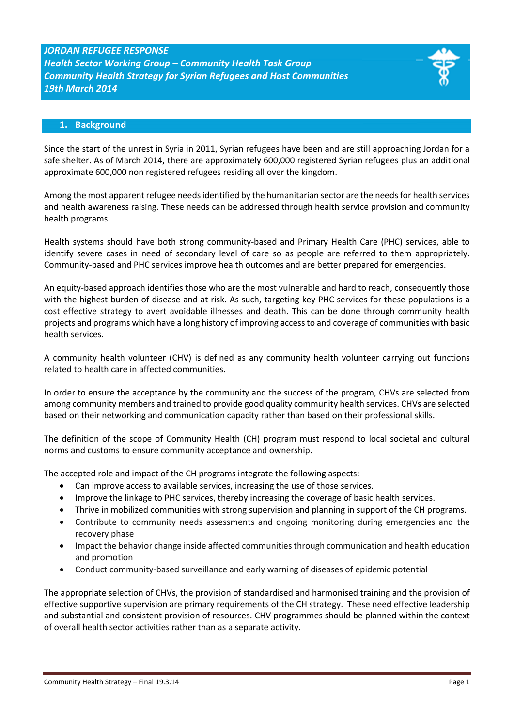# *JORDAN REFUGEE RESPONSE Health Sector Working Group – Community Health Task Group Community Health Strategy for Syrian Refugees and Host Communities 19th March 2014*

## **1. Background**

Since the start of the unrest in Syria in 2011, Syrian refugees have been and are still approaching Jordan for a safe shelter. As of March 2014, there are approximately 600,000 registered Syrian refugees plus an additional approximate 600,000 non registered refugees residing all over the kingdom.

Among the most apparent refugee needs identified by the humanitarian sector are the needsfor health services and health awareness raising. These needs can be addressed through health service provision and community health programs.

Health systems should have both strong community-based and Primary Health Care (PHC) services, able to identify severe cases in need of secondary level of care so as people are referred to them appropriately. Community-based and PHC services improve health outcomes and are better prepared for emergencies.

An equity-based approach identifies those who are the most vulnerable and hard to reach, consequently those with the highest burden of disease and at risk. As such, targeting key PHC services for these populations is a cost effective strategy to avert avoidable illnesses and death. This can be done through community health projects and programs which have a long history of improving access to and coverage of communities with basic health services.

A community health volunteer (CHV) is defined as any community health volunteer carrying out functions related to health care in affected communities.

In order to ensure the acceptance by the community and the success of the program, CHVs are selected from among community members and trained to provide good quality community health services. CHVs are selected based on their networking and communication capacity rather than based on their professional skills.

The definition of the scope of Community Health (CH) program must respond to local societal and cultural norms and customs to ensure community acceptance and ownership.

The accepted role and impact of the CH programs integrate the following aspects:

- Can improve access to available services, increasing the use of those services.
- Improve the linkage to PHC services, thereby increasing the coverage of basic health services.
- Thrive in mobilized communities with strong supervision and planning in support of the CH programs.
- Contribute to community needs assessments and ongoing monitoring during emergencies and the recovery phase
- Impact the behavior change inside affected communities through communication and health education and promotion
- Conduct community-based surveillance and early warning of diseases of epidemic potential

The appropriate selection of CHVs, the provision of standardised and harmonised training and the provision of effective supportive supervision are primary requirements of the CH strategy. These need effective leadership and substantial and consistent provision of resources. CHV programmes should be planned within the context of overall health sector activities rather than as a separate activity.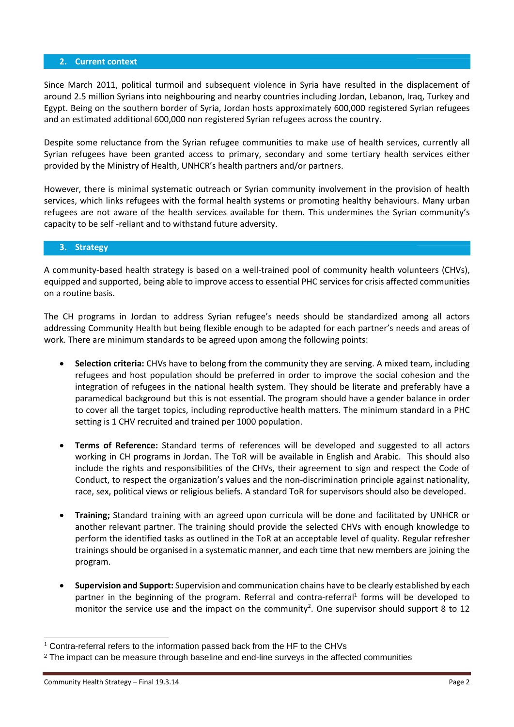#### **2. Current context**

Since March 2011, political turmoil and subsequent violence in Syria have resulted in the displacement of around 2.5 million Syrians into neighbouring and nearby countries including Jordan, Lebanon, Iraq, Turkey and Egypt. Being on the southern border of Syria, Jordan hosts approximately 600,000 registered Syrian refugees and an estimated additional 600,000 non registered Syrian refugees across the country.

Despite some reluctance from the Syrian refugee communities to make use of health services, currently all Syrian refugees have been granted access to primary, secondary and some tertiary health services either provided by the Ministry of Health, UNHCR's health partners and/or partners.

However, there is minimal systematic outreach or Syrian community involvement in the provision of health services, which links refugees with the formal health systems or promoting healthy behaviours. Many urban refugees are not aware of the health services available for them. This undermines the Syrian community's capacity to be self -reliant and to withstand future adversity.

### **3. Strategy**

A community-based health strategy is based on a well-trained pool of community health volunteers (CHVs), equipped and supported, being able to improve access to essential PHC services for crisis affected communities on a routine basis.

The CH programs in Jordan to address Syrian refugee's needs should be standardized among all actors addressing Community Health but being flexible enough to be adapted for each partner's needs and areas of work. There are minimum standards to be agreed upon among the following points:

- **Selection criteria:** CHVs have to belong from the community they are serving. A mixed team, including refugees and host population should be preferred in order to improve the social cohesion and the integration of refugees in the national health system. They should be literate and preferably have a paramedical background but this is not essential. The program should have a gender balance in order to cover all the target topics, including reproductive health matters. The minimum standard in a PHC setting is 1 CHV recruited and trained per 1000 population.
- **Terms of Reference:** Standard terms of references will be developed and suggested to all actors working in CH programs in Jordan. The ToR will be available in English and Arabic. This should also include the rights and responsibilities of the CHVs, their agreement to sign and respect the Code of Conduct, to respect the organization's values and the non-discrimination principle against nationality, race, sex, political views or religious beliefs. A standard ToR for supervisors should also be developed.
- **Training;** Standard training with an agreed upon curricula will be done and facilitated by UNHCR or another relevant partner. The training should provide the selected CHVs with enough knowledge to perform the identified tasks as outlined in the ToR at an acceptable level of quality. Regular refresher trainings should be organised in a systematic manner, and each time that new members are joining the program.
- **Supervision and Support:** Supervision and communication chains have to be clearly established by each partner in the beginning of the program. Referral and contra-referral<sup>1</sup> forms will be developed to monitor the service use and the impact on the community<sup>2</sup>. One supervisor should support 8 to 12

<sup>-</sup><sup>1</sup> Contra-referral refers to the information passed back from the HF to the CHVs

<sup>&</sup>lt;sup>2</sup> The impact can be measure through baseline and end-line surveys in the affected communities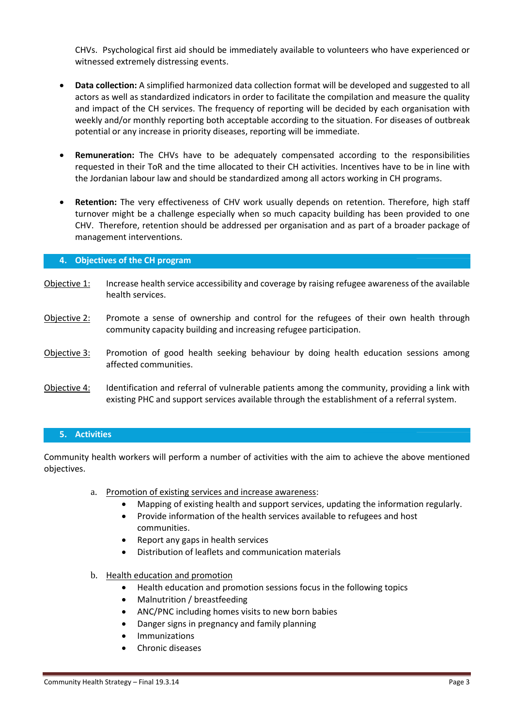CHVs. Psychological first aid should be immediately available to volunteers who have experienced or witnessed extremely distressing events.

- **Data collection:** A simplified harmonized data collection format will be developed and suggested to all actors as well as standardized indicators in order to facilitate the compilation and measure the quality and impact of the CH services. The frequency of reporting will be decided by each organisation with weekly and/or monthly reporting both acceptable according to the situation. For diseases of outbreak potential or any increase in priority diseases, reporting will be immediate.
- **Remuneration:** The CHVs have to be adequately compensated according to the responsibilities requested in their ToR and the time allocated to their CH activities. Incentives have to be in line with the Jordanian labour law and should be standardized among all actors working in CH programs.
- **Retention:** The very effectiveness of CHV work usually depends on retention. Therefore, high staff turnover might be a challenge especially when so much capacity building has been provided to one CHV. Therefore, retention should be addressed per organisation and as part of a broader package of management interventions.

### **4. Objectives of the CH program**

- Objective 1: Increase health service accessibility and coverage by raising refugee awareness of the available health services.
- Objective 2: Promote a sense of ownership and control for the refugees of their own health through community capacity building and increasing refugee participation.
- Objective 3: Promotion of good health seeking behaviour by doing health education sessions among affected communities.
- Objective 4: Identification and referral of vulnerable patients among the community, providing a link with existing PHC and support services available through the establishment of a referral system.

### **5. Activities**

Community health workers will perform a number of activities with the aim to achieve the above mentioned objectives.

- a. Promotion of existing services and increase awareness:
	- Mapping of existing health and support services, updating the information regularly.
	- Provide information of the health services available to refugees and host communities.
	- Report any gaps in health services
	- Distribution of leaflets and communication materials
- b. Health education and promotion
	- Health education and promotion sessions focus in the following topics
	- Malnutrition / breastfeeding
	- ANC/PNC including homes visits to new born babies
	- Danger signs in pregnancy and family planning
	- Immunizations
	- Chronic diseases